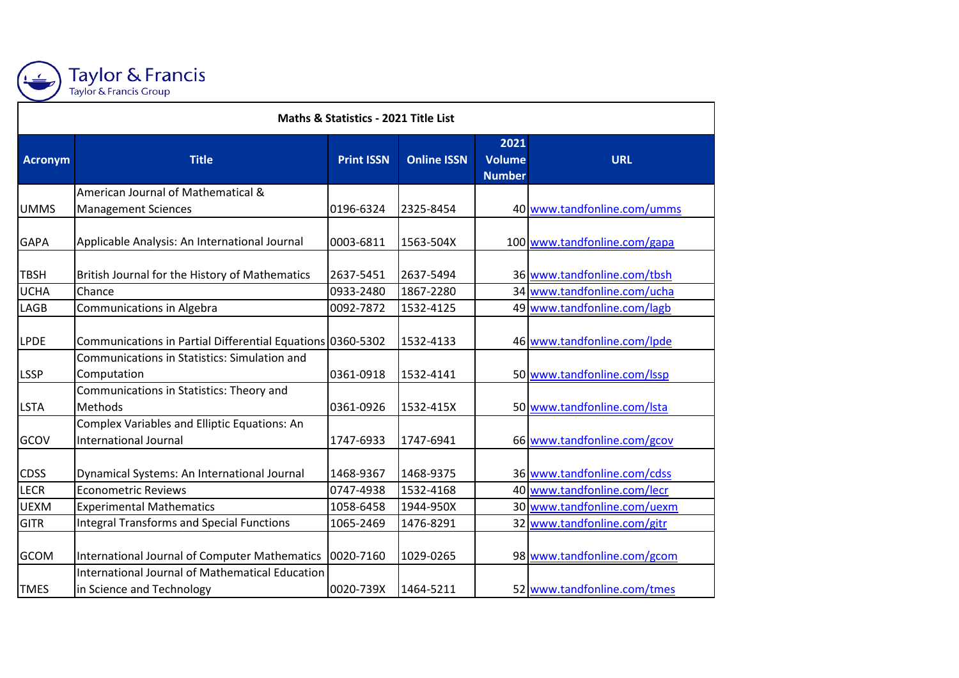

## Taylor & Francis<br>Taylor & Francis Group

| <b>Maths &amp; Statistics - 2021 Title List</b> |                                                                                     |                        |                        |                                 |                                                            |  |
|-------------------------------------------------|-------------------------------------------------------------------------------------|------------------------|------------------------|---------------------------------|------------------------------------------------------------|--|
| <b>Acronym</b>                                  | <b>Title</b>                                                                        | <b>Print ISSN</b>      | <b>Online ISSN</b>     | 2021<br>Volume<br><b>Number</b> | <b>URL</b>                                                 |  |
| <b>UMMS</b>                                     | American Journal of Mathematical &<br><b>Management Sciences</b>                    | 0196-6324              | 2325-8454              |                                 | 40 www.tandfonline.com/umms                                |  |
| <b>GAPA</b>                                     | Applicable Analysis: An International Journal                                       | 0003-6811              | 1563-504X              |                                 | 100 www.tandfonline.com/gapa                               |  |
| <b>TBSH</b>                                     | British Journal for the History of Mathematics                                      | 2637-5451              | 2637-5494              |                                 | 36 www.tandfonline.com/tbsh                                |  |
| <b>UCHA</b><br>LAGB                             | Chance<br>Communications in Algebra                                                 | 0933-2480<br>0092-7872 | 1867-2280<br>1532-4125 |                                 | 34 www.tandfonline.com/ucha<br>49 www.tandfonline.com/lagb |  |
| <b>LPDE</b>                                     | Communications in Partial Differential Equations 0360-5302                          |                        | 1532-4133              |                                 | 46 www.tandfonline.com/lpde                                |  |
| LSSP                                            | Communications in Statistics: Simulation and<br>Computation                         | 0361-0918              | 1532-4141              |                                 | 50 www.tandfonline.com/Issp                                |  |
| <b>LSTA</b>                                     | Communications in Statistics: Theory and<br>Methods                                 | 0361-0926              | 1532-415X              |                                 | 50 www.tandfonline.com/Ista                                |  |
| GCOV                                            | Complex Variables and Elliptic Equations: An<br>International Journal               | 1747-6933              | 1747-6941              |                                 | 66 www.tandfonline.com/gcov                                |  |
| <b>CDSS</b>                                     | Dynamical Systems: An International Journal                                         | 1468-9367              | 1468-9375              |                                 | 36 www.tandfonline.com/cdss                                |  |
| <b>LECR</b>                                     | <b>Econometric Reviews</b>                                                          | 0747-4938              | 1532-4168              |                                 | 40 www.tandfonline.com/lecr                                |  |
| <b>UEXM</b>                                     | <b>Experimental Mathematics</b>                                                     | 1058-6458              | 1944-950X              |                                 | 30 www.tandfonline.com/uexm                                |  |
| <b>GITR</b>                                     | Integral Transforms and Special Functions                                           | 1065-2469              | 1476-8291              |                                 | 32 www.tandfonline.com/gitr                                |  |
| <b>GCOM</b>                                     | International Journal of Computer Mathematics                                       | 0020-7160              | 1029-0265              |                                 | 98 www.tandfonline.com/gcom                                |  |
| <b>TMES</b>                                     | <b>International Journal of Mathematical Education</b><br>in Science and Technology | 0020-739X              | 1464-5211              |                                 | 52 www.tandfonline.com/tmes                                |  |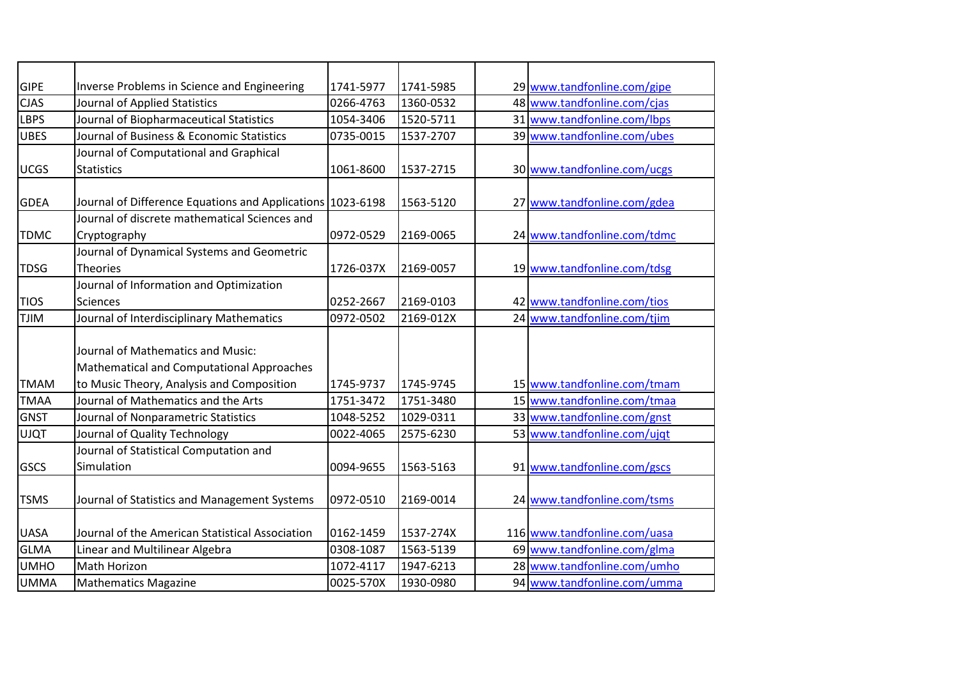| <b>GIPE</b> | Inverse Problems in Science and Engineering                | 1741-5977 | 1741-5985 | 29 www.tandfonline.com/gipe  |
|-------------|------------------------------------------------------------|-----------|-----------|------------------------------|
| <b>CJAS</b> | Journal of Applied Statistics                              | 0266-4763 | 1360-0532 | 48 www.tandfonline.com/cjas  |
| <b>LBPS</b> | Journal of Biopharmaceutical Statistics                    | 1054-3406 | 1520-5711 | 31 www.tandfonline.com/lbps  |
| <b>UBES</b> | Journal of Business & Economic Statistics                  | 0735-0015 | 1537-2707 | 39 www.tandfonline.com/ubes  |
|             | Journal of Computational and Graphical                     |           |           |                              |
| <b>UCGS</b> | <b>Statistics</b>                                          | 1061-8600 | 1537-2715 | 30 www.tandfonline.com/ucgs  |
|             |                                                            |           |           |                              |
| <b>GDEA</b> | Journal of Difference Equations and Applications 1023-6198 |           | 1563-5120 | 27 www.tandfonline.com/gdea  |
|             | Journal of discrete mathematical Sciences and              |           |           |                              |
| <b>TDMC</b> | Cryptography                                               | 0972-0529 | 2169-0065 | 24 www.tandfonline.com/tdmc  |
|             | Journal of Dynamical Systems and Geometric                 |           |           |                              |
| <b>TDSG</b> | <b>Theories</b>                                            | 1726-037X | 2169-0057 | 19 www.tandfonline.com/tdsg  |
|             | Journal of Information and Optimization                    |           |           |                              |
| <b>TIOS</b> | Sciences                                                   | 0252-2667 | 2169-0103 | 42 www.tandfonline.com/tios  |
| <b>NILT</b> | Journal of Interdisciplinary Mathematics                   | 0972-0502 | 2169-012X | 24 www.tandfonline.com/tjim  |
|             |                                                            |           |           |                              |
|             | Journal of Mathematics and Music:                          |           |           |                              |
|             | Mathematical and Computational Approaches                  |           |           |                              |
| <b>TMAM</b> | to Music Theory, Analysis and Composition                  | 1745-9737 | 1745-9745 | 15 www.tandfonline.com/tmam  |
| <b>TMAA</b> | Journal of Mathematics and the Arts                        | 1751-3472 | 1751-3480 | 15 www.tandfonline.com/tmaa  |
| <b>GNST</b> | Journal of Nonparametric Statistics                        | 1048-5252 | 1029-0311 | 33 www.tandfonline.com/gnst  |
| <b>UJQT</b> | Journal of Quality Technology                              | 0022-4065 | 2575-6230 | 53 www.tandfonline.com/ujqt  |
|             | Journal of Statistical Computation and                     |           |           |                              |
| <b>GSCS</b> | Simulation                                                 | 0094-9655 | 1563-5163 | 91 www.tandfonline.com/gscs  |
|             |                                                            |           |           |                              |
| <b>TSMS</b> | Journal of Statistics and Management Systems               | 0972-0510 | 2169-0014 | 24 www.tandfonline.com/tsms  |
|             |                                                            |           |           |                              |
| <b>UASA</b> | Journal of the American Statistical Association            | 0162-1459 | 1537-274X | 116 www.tandfonline.com/uasa |
| <b>GLMA</b> | Linear and Multilinear Algebra                             | 0308-1087 | 1563-5139 | 69 www.tandfonline.com/glma  |
| <b>UMHO</b> | <b>Math Horizon</b>                                        | 1072-4117 | 1947-6213 | 28 www.tandfonline.com/umho  |
| <b>UMMA</b> | <b>Mathematics Magazine</b>                                | 0025-570X | 1930-0980 | 94 www.tandfonline.com/umma  |